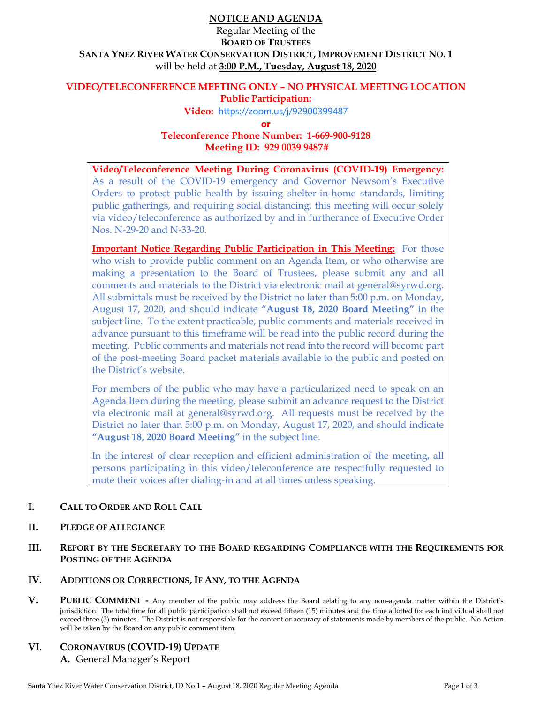# **NOTICE AND AGENDA**

# Regular Meeting of the **BOARD OF TRUSTEES SANTA YNEZ RIVER WATER CONSERVATION DISTRICT, IMPROVEMENT DISTRICT NO. 1**  will be held at **3:00 P.M., Tuesday, August 18, 2020**

## **VIDEO/TELECONFERENCE MEETING ONLY – NO PHYSICAL MEETING LOCATION Public Participation:**

**Video:** https://zoom.us/j/92900399487

**or**

# **Teleconference Phone Number: 1-669-900-9128 Meeting ID: 929 0039 9487#**

**Video/Teleconference Meeting During Coronavirus (COVID-19) Emergency:** As a result of the COVID-19 emergency and Governor Newsom's Executive Orders to protect public health by issuing shelter-in-home standards, limiting public gatherings, and requiring social distancing, this meeting will occur solely via video/teleconference as authorized by and in furtherance of Executive Order Nos. N-29-20 and N-33-20.

**Important Notice Regarding Public Participation in This Meeting:** For those who wish to provide public comment on an Agenda Item, or who otherwise are making a presentation to the Board of Trustees, please submit any and all comments and materials to the District via electronic mail at general@syrwd.org. All submittals must be received by the District no later than 5:00 p.m. on Monday, August 17, 2020, and should indicate **"August 18, 2020 Board Meeting"** in the subject line. To the extent practicable, public comments and materials received in advance pursuant to this timeframe will be read into the public record during the meeting. Public comments and materials not read into the record will become part of the post-meeting Board packet materials available to the public and posted on the District's website.

For members of the public who may have a particularized need to speak on an Agenda Item during the meeting, please submit an advance request to the District via electronic mail at general@syrwd.org. All requests must be received by the District no later than 5:00 p.m. on Monday, August 17, 2020, and should indicate **"August 18, 2020 Board Meeting"** in the subject line.

In the interest of clear reception and efficient administration of the meeting, all persons participating in this video/teleconference are respectfully requested to mute their voices after dialing-in and at all times unless speaking.

### **I. CALL TO ORDER AND ROLL CALL**

### **II. PLEDGE OF ALLEGIANCE**

### **III. REPORT BY THE SECRETARY TO THE BOARD REGARDING COMPLIANCE WITH THE REQUIREMENTS FOR POSTING OF THE AGENDA**

### **IV. ADDITIONS OR CORRECTIONS, IF ANY, TO THE AGENDA**

**V. PUBLIC COMMENT -** Any member of the public may address the Board relating to any non-agenda matter within the District's jurisdiction. The total time for all public participation shall not exceed fifteen (15) minutes and the time allotted for each individual shall not exceed three (3) minutes. The District is not responsible for the content or accuracy of statements made by members of the public. No Action will be taken by the Board on any public comment item.

### **VI. CORONAVIRUS (COVID-19) UPDATE**

**A.** General Manager's Report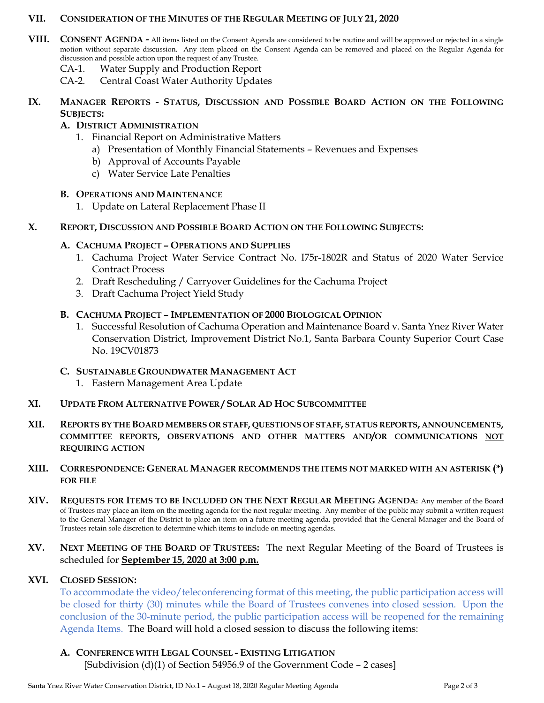#### **VII. CONSIDERATION OF THE MINUTES OF THE REGULAR MEETING OF JULY 21, 2020**

- **VIII. CONSENT AGENDA -** All items listed on the Consent Agenda are considered to be routine and will be approved or rejected in a single motion without separate discussion. Any item placed on the Consent Agenda can be removed and placed on the Regular Agenda for discussion and possible action upon the request of any Trustee.
	- CA-1. Water Supply and Production Report
	- CA-2. Central Coast Water Authority Updates

### **IX. MANAGER REPORTS - STATUS, DISCUSSION AND POSSIBLE BOARD ACTION ON THE FOLLOWING SUBJECTS:**

### **A. DISTRICT ADMINISTRATION**

- 1. Financial Report on Administrative Matters
	- a) Presentation of Monthly Financial Statements Revenues and Expenses
	- b) Approval of Accounts Payable
	- c) Water Service Late Penalties

### **B. OPERATIONS AND MAINTENANCE**

1. Update on Lateral Replacement Phase II

### **X. REPORT, DISCUSSION AND POSSIBLE BOARD ACTION ON THE FOLLOWING SUBJECTS:**

### **A. CACHUMA PROJECT – OPERATIONS AND SUPPLIES**

- 1. Cachuma Project Water Service Contract No. I75r-1802R and Status of 2020 Water Service Contract Process
- 2. Draft Rescheduling / Carryover Guidelines for the Cachuma Project
- 3. Draft Cachuma Project Yield Study

#### **B. CACHUMA PROJECT – IMPLEMENTATION OF 2000 BIOLOGICAL OPINION**

1. Successful Resolution of Cachuma Operation and Maintenance Board v. Santa Ynez River Water Conservation District, Improvement District No.1, Santa Barbara County Superior Court Case No. 19CV01873

### **C. SUSTAINABLE GROUNDWATER MANAGEMENT ACT**

1. Eastern Management Area Update

### **XI. UPDATE FROM ALTERNATIVE POWER / SOLAR AD HOC SUBCOMMITTEE**

**XII. REPORTS BY THE BOARD MEMBERS OR STAFF, QUESTIONS OF STAFF, STATUS REPORTS, ANNOUNCEMENTS, COMMITTEE REPORTS, OBSERVATIONS AND OTHER MATTERS AND/OR COMMUNICATIONS NOT REQUIRING ACTION**

#### **XIII. CORRESPONDENCE: GENERAL MANAGER RECOMMENDS THE ITEMS NOT MARKED WITH AN ASTERISK (\*) FOR FILE**

- **XIV. REQUESTS FOR ITEMS TO BE INCLUDED ON THE NEXT REGULAR MEETING AGENDA:** Any member of the Board of Trustees may place an item on the meeting agenda for the next regular meeting. Any member of the public may submit a written request to the General Manager of the District to place an item on a future meeting agenda, provided that the General Manager and the Board of Trustees retain sole discretion to determine which items to include on meeting agendas.
- **XV. NEXT MEETING OF THE BOARD OF TRUSTEES:** The next Regular Meeting of the Board of Trustees is scheduled for **September 15, 2020 at 3:00 p.m.**

#### **XVI. CLOSED SESSION:**

To accommodate the video/teleconferencing format of this meeting, the public participation access will be closed for thirty (30) minutes while the Board of Trustees convenes into closed session. Upon the conclusion of the 30-minute period, the public participation access will be reopened for the remaining Agenda Items. The Board will hold a closed session to discuss the following items:

## **A. CONFERENCE WITH LEGAL COUNSEL - EXISTING LITIGATION**

[Subdivision  $(d)(1)$  of Section 54956.9 of the Government Code – 2 cases]